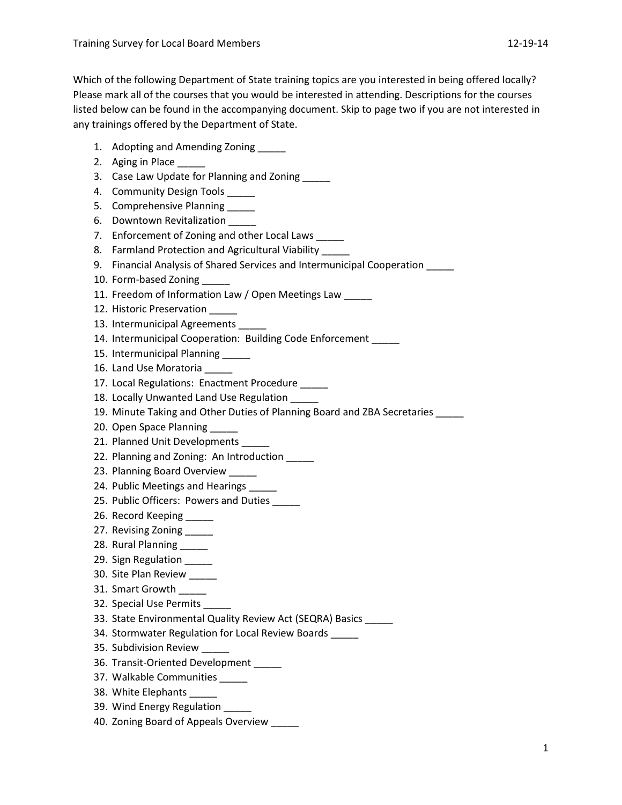Which of the following Department of State training topics are you interested in being offered locally? Please mark all of the courses that you would be interested in attending. Descriptions for the courses listed below can be found in the accompanying document. Skip to page two if you are not interested in any trainings offered by the Department of State.

- 1. Adopting and Amending Zoning
- 2. Aging in Place
- 3. Case Law Update for Planning and Zoning \_\_\_\_\_
- 4. Community Design Tools
- 5. Comprehensive Planning \_\_\_\_\_
- 6. Downtown Revitalization
- 7. Enforcement of Zoning and other Local Laws \_\_\_\_
- 8. Farmland Protection and Agricultural Viability \_\_\_\_\_
- 9. Financial Analysis of Shared Services and Intermunicipal Cooperation \_\_\_\_\_
- 10. Form-based Zoning
- 11. Freedom of Information Law / Open Meetings Law
- 12. Historic Preservation
- 13. Intermunicipal Agreements
- 14. Intermunicipal Cooperation: Building Code Enforcement
- 15. Intermunicipal Planning
- 16. Land Use Moratoria
- 17. Local Regulations: Enactment Procedure \_\_\_\_
- 18. Locally Unwanted Land Use Regulation \_\_\_\_\_
- 19. Minute Taking and Other Duties of Planning Board and ZBA Secretaries
- 20. Open Space Planning
- 21. Planned Unit Developments
- 22. Planning and Zoning: An Introduction \_\_\_\_
- 23. Planning Board Overview
- 24. Public Meetings and Hearings \_\_\_\_\_
- 25. Public Officers: Powers and Duties \_\_\_\_\_
- 26. Record Keeping
- 27. Revising Zoning \_\_\_\_\_
- 28. Rural Planning
- 29. Sign Regulation
- 30. Site Plan Review \_\_\_\_\_
- 31. Smart Growth
- 32. Special Use Permits \_\_\_\_\_
- 33. State Environmental Quality Review Act (SEQRA) Basics \_\_\_\_\_
- 34. Stormwater Regulation for Local Review Boards
- 35. Subdivision Review
- 36. Transit-Oriented Development \_\_\_\_\_
- 37. Walkable Communities
- 38. White Elephants \_\_\_\_\_
- 39. Wind Energy Regulation
- 40. Zoning Board of Appeals Overview \_\_\_\_\_